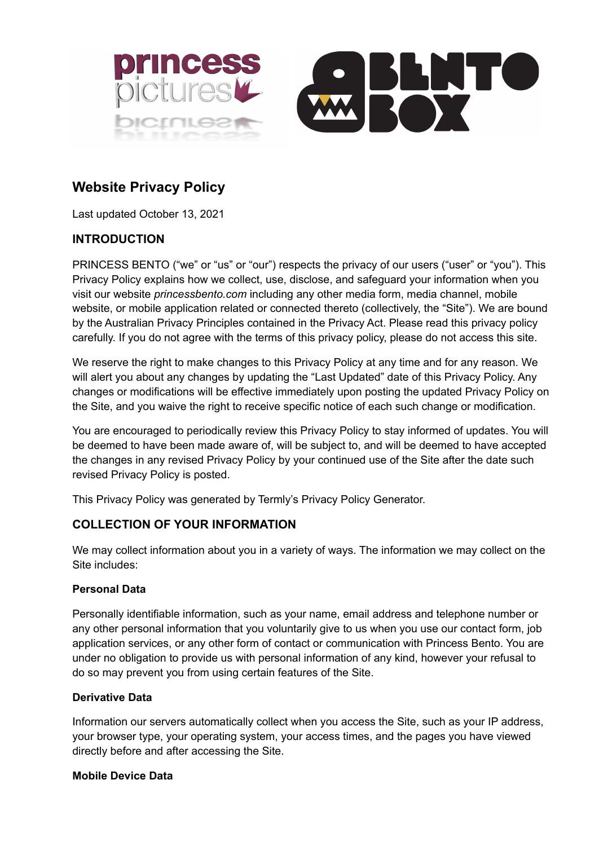



# **Website Privacy Policy**

Last updated October 13, 2021

# **INTRODUCTION**

PRINCESS BENTO ("we" or "us" or "our") respects the privacy of our users ("user" or "you"). This Privacy Policy explains how we collect, use, disclose, and safeguard your information when you visit our website *princessbento.com* including any other media form, media channel, mobile website, or mobile application related or connected thereto (collectively, the "Site"). We are bound by the Australian Privacy Principles contained in the Privacy Act. Please read this privacy policy carefully. If you do not agree with the terms of this privacy policy, please do not access this site.

We reserve the right to make changes to this Privacy Policy at any time and for any reason. We will alert you about any changes by updating the "Last Updated" date of this Privacy Policy. Any changes or modifications will be effective immediately upon posting the updated Privacy Policy on the Site, and you waive the right to receive specific notice of each such change or modification.

You are encouraged to periodically review this Privacy Policy to stay informed of updates. You will be deemed to have been made aware of, will be subject to, and will be deemed to have accepted the changes in any revised Privacy Policy by your continued use of the Site after the date such revised Privacy Policy is posted.

This Privacy Policy was generated by Termly's Privacy Policy Generator.

# **COLLECTION OF YOUR INFORMATION**

We may collect information about you in a variety of ways. The information we may collect on the Site includes:

### **Personal Data**

Personally identifiable information, such as your name, email address and telephone number or any other personal information that you voluntarily give to us when you use our contact form, job application services, or any other form of contact or communication with Princess Bento. You are under no obligation to provide us with personal information of any kind, however your refusal to do so may prevent you from using certain features of the Site.

### **Derivative Data**

Information our servers automatically collect when you access the Site, such as your IP address, your browser type, your operating system, your access times, and the pages you have viewed directly before and after accessing the Site.

### **Mobile Device Data**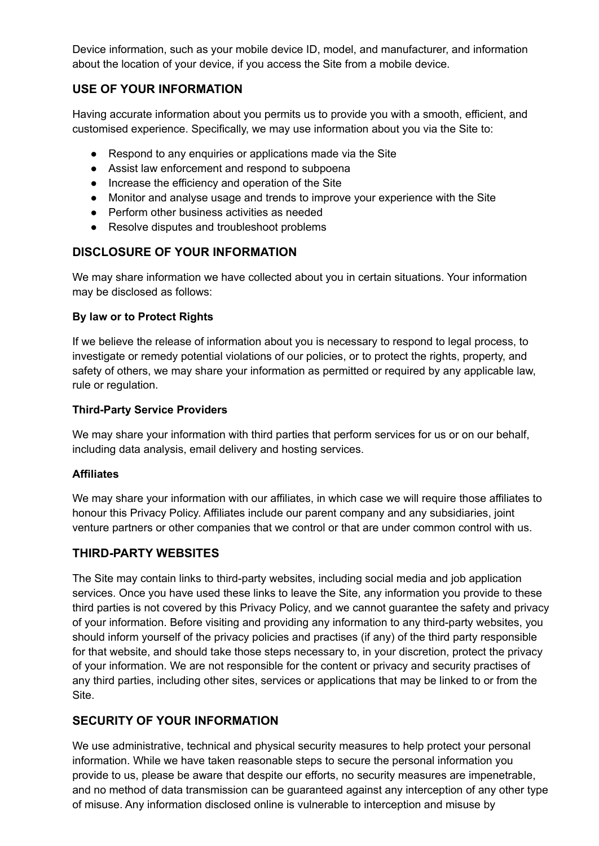Device information, such as your mobile device ID, model, and manufacturer, and information about the location of your device, if you access the Site from a mobile device.

# **USE OF YOUR INFORMATION**

Having accurate information about you permits us to provide you with a smooth, efficient, and customised experience. Specifically, we may use information about you via the Site to:

- Respond to any enquiries or applications made via the Site
- Assist law enforcement and respond to subpoena
- Increase the efficiency and operation of the Site
- Monitor and analyse usage and trends to improve your experience with the Site
- Perform other business activities as needed
- Resolve disputes and troubleshoot problems

# **DISCLOSURE OF YOUR INFORMATION**

We may share information we have collected about you in certain situations. Your information may be disclosed as follows:

### **By law or to Protect Rights**

If we believe the release of information about you is necessary to respond to legal process, to investigate or remedy potential violations of our policies, or to protect the rights, property, and safety of others, we may share your information as permitted or required by any applicable law, rule or regulation.

#### **Third-Party Service Providers**

We may share your information with third parties that perform services for us or on our behalf, including data analysis, email delivery and hosting services.

#### **Affiliates**

We may share your information with our affiliates, in which case we will require those affiliates to honour this Privacy Policy. Affiliates include our parent company and any subsidiaries, joint venture partners or other companies that we control or that are under common control with us.

### **THIRD-PARTY WEBSITES**

The Site may contain links to third-party websites, including social media and job application services. Once you have used these links to leave the Site, any information you provide to these third parties is not covered by this Privacy Policy, and we cannot guarantee the safety and privacy of your information. Before visiting and providing any information to any third-party websites, you should inform yourself of the privacy policies and practises (if any) of the third party responsible for that website, and should take those steps necessary to, in your discretion, protect the privacy of your information. We are not responsible for the content or privacy and security practises of any third parties, including other sites, services or applications that may be linked to or from the Site.

# **SECURITY OF YOUR INFORMATION**

We use administrative, technical and physical security measures to help protect your personal information. While we have taken reasonable steps to secure the personal information you provide to us, please be aware that despite our efforts, no security measures are impenetrable, and no method of data transmission can be guaranteed against any interception of any other type of misuse. Any information disclosed online is vulnerable to interception and misuse by